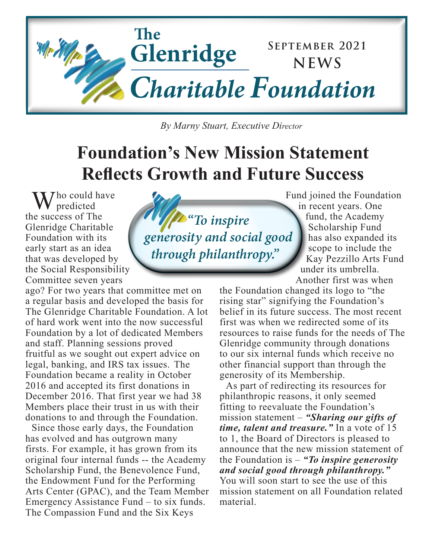

 *By Marny Stuart, Executive Director*

## **Foundation's New Mission Statement Reflects Growth and Future Success**

 $\mathcal{J}$  ho could have predicted the success of The Glenridge Charitable Foundation with its early start as an idea that was developed by the Social Responsibility Committee seven years

ago? For two years that committee met on a regular basis and developed the basis for The Glenridge Charitable Foundation. A lot of hard work went into the now successful Foundation by a lot of dedicated Members and staff. Planning sessions proved fruitful as we sought out expert advice on legal, banking, and IRS tax issues. The Foundation became a reality in October 2016 and accepted its first donations in December 2016. That first year we had 38 Members place their trust in us with their donations to and through the Foundation.

Since those early days, the Foundation has evolved and has outgrown many firsts. For example, it has grown from its original four internal funds -- the Academy Scholarship Fund, the Benevolence Fund, the Endowment Fund for the Performing Arts Center (GPAC), and the Team Member Emergency Assistance Fund – to six funds. The Compassion Fund and the Six Keys

*"To inspire generosity and social good through philanthropy."*

Fund joined the Foundation in recent years. One fund, the Academy Scholarship Fund has also expanded its scope to include the Kay Pezzillo Arts Fund under its umbrella. Another first was when

the Foundation changed its logo to "the rising star" signifying the Foundation's belief in its future success. The most recent first was when we redirected some of its resources to raise funds for the needs of The Glenridge community through donations to our six internal funds which receive no other financial support than through the generosity of its Membership.

As part of redirecting its resources for philanthropic reasons, it only seemed fitting to reevaluate the Foundation's mission statement – *"Sharing our gifts of time, talent and treasure."* In a vote of 15 to 1, the Board of Directors is pleased to announce that the new mission statement of the Foundation is – *"To inspire generosity and social good through philanthropy."*  You will soon start to see the use of this mission statement on all Foundation related material.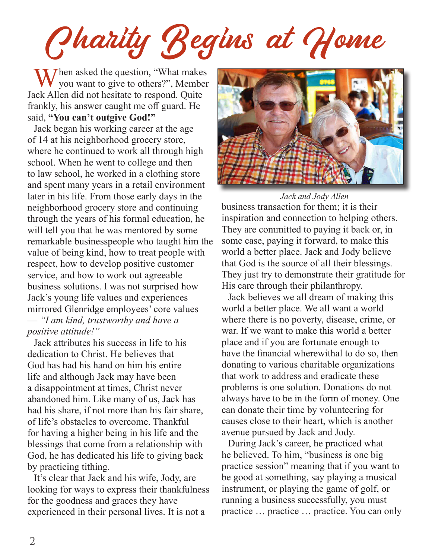Charity Begins at Home

When asked the question, "What makes<br>you want to give to others?", Member Jack Allen did not hesitate to respond. Quite frankly, his answer caught me off guard. He said, **"You can't outgive God!"** 

Jack began his working career at the age of 14 at his neighborhood grocery store, where he continued to work all through high school. When he went to college and then to law school, he worked in a clothing store and spent many years in a retail environment later in his life. From those early days in the neighborhood grocery store and continuing through the years of his formal education, he will tell you that he was mentored by some remarkable businesspeople who taught him the value of being kind, how to treat people with respect, how to develop positive customer service, and how to work out agreeable business solutions. I was not surprised how Jack's young life values and experiences mirrored Glenridge employees' core values — *"I am kind, trustworthy and have a positive attitude!"*

Jack attributes his success in life to his dedication to Christ. He believes that God has had his hand on him his entire life and although Jack may have been a disappointment at times, Christ never abandoned him. Like many of us, Jack has had his share, if not more than his fair share, of life's obstacles to overcome. Thankful for having a higher being in his life and the blessings that come from a relationship with God, he has dedicated his life to giving back by practicing tithing.

It's clear that Jack and his wife, Jody, are looking for ways to express their thankfulness for the goodness and graces they have experienced in their personal lives. It is not a



business transaction for them; it is their inspiration and connection to helping others. They are committed to paying it back or, in some case, paying it forward, to make this world a better place. Jack and Jody believe that God is the source of all their blessings. They just try to demonstrate their gratitude for His care through their philanthropy. *Jack and Jody Allen*

Jack believes we all dream of making this world a better place. We all want a world where there is no poverty, disease, crime, or war. If we want to make this world a better place and if you are fortunate enough to have the financial wherewithal to do so, then donating to various charitable organizations that work to address and eradicate these problems is one solution. Donations do not always have to be in the form of money. One can donate their time by volunteering for causes close to their heart, which is another avenue pursued by Jack and Jody.

During Jack's career, he practiced what he believed. To him, "business is one big practice session" meaning that if you want to be good at something, say playing a musical instrument, or playing the game of golf, or running a business successfully, you must practice … practice … practice. You can only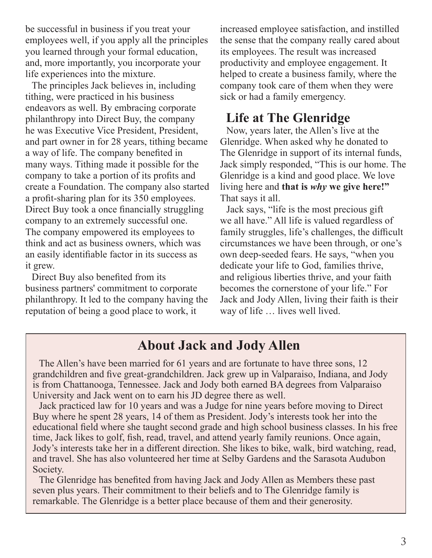be successful in business if you treat your employees well, if you apply all the principles you learned through your formal education, and, more importantly, you incorporate your life experiences into the mixture.

The principles Jack believes in, including tithing, were practiced in his business endeavors as well. By embracing corporate philanthropy into Direct Buy, the company he was Executive Vice President, President, and part owner in for 28 years, tithing became a way of life. The company benefited in many ways. Tithing made it possible for the company to take a portion of its profits and create a Foundation. The company also started a profit-sharing plan for its 350 employees. Direct Buy took a once financially struggling company to an extremely successful one. The company empowered its employees to think and act as business owners, which was an easily identifiable factor in its success as it grew.

Direct Buy also benefited from its business partners' commitment to corporate philanthropy. It led to the company having the reputation of being a good place to work, it

increased employee satisfaction, and instilled the sense that the company really cared about its employees. The result was increased productivity and employee engagement. It helped to create a business family, where the company took care of them when they were sick or had a family emergency.

#### **Life at The Glenridge**

Now, years later, the Allen's live at the Glenridge. When asked why he donated to The Glenridge in support of its internal funds, Jack simply responded, "This is our home. The Glenridge is a kind and good place. We love living here and **that is** *why* **we give here!"**  That says it all.

Jack says, "life is the most precious gift we all have." All life is valued regardless of family struggles, life's challenges, the difficult circumstances we have been through, or one's own deep-seeded fears. He says, "when you dedicate your life to God, families thrive, and religious liberties thrive, and your faith becomes the cornerstone of your life." For Jack and Jody Allen, living their faith is their way of life … lives well lived.

#### **About Jack and Jody Allen**

The Allen's have been married for 61 years and are fortunate to have three sons, 12 grandchildren and five great-grandchildren. Jack grew up in Valparaiso, Indiana, and Jody is from Chattanooga, Tennessee. Jack and Jody both earned BA degrees from Valparaiso University and Jack went on to earn his JD degree there as well.

Jack practiced law for 10 years and was a Judge for nine years before moving to Direct Buy where he spent 28 years, 14 of them as President. Jody's interests took her into the educational field where she taught second grade and high school business classes. In his free time, Jack likes to golf, fish, read, travel, and attend yearly family reunions. Once again, Jody's interests take her in a different direction. She likes to bike, walk, bird watching, read, and travel. She has also volunteered her time at Selby Gardens and the Sarasota Audubon Society.

The Glenridge has benefited from having Jack and Jody Allen as Members these past seven plus years. Their commitment to their beliefs and to The Glenridge family is remarkable. The Glenridge is a better place because of them and their generosity.